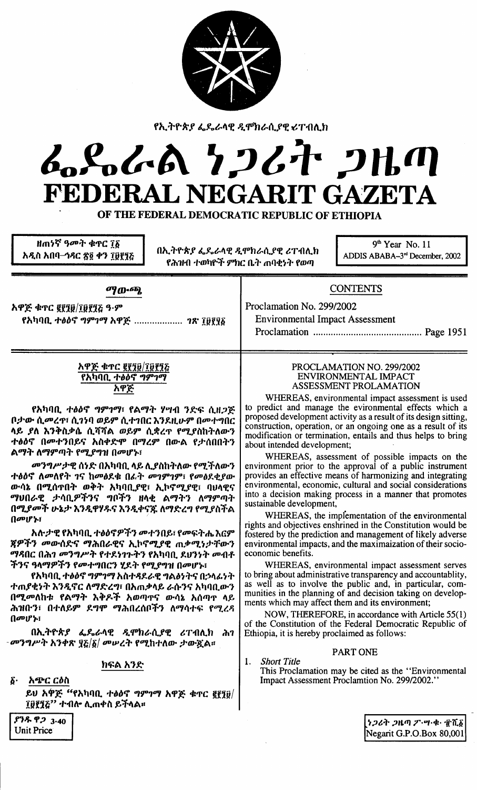

fh/tr-ttf *~1..t-l\lf* ~ qP'tJt-ft.flf *~Tl1t\Jl*

# ~1o/,clA *'1;JtT ;JUfIJ* FEDERAL NEGARIT GAZETA

OF THE FEDERAL DEMOCRATIC REPUBLIC OF ETHIOPIA

*H***m5ኛ ዓ**መት ቁጥር ፲፩ አዲስ አበባ<del>-</del>ኅዳር ጽ፩ ቀን **፲፱፻**ፃਣ

በኢትዮጵያ ፌዴራሳዊ ዲሞክራሲያዊ ሪፐብሊክ<br>ADDIS ABABA-3<sup>rd</sup> December, 2002 **የሕዝብ ተወካዮች ምክር ቤት ጠባቂነት የወጣ** 

9<sup>th</sup> Year No. 11

**ማ**ውጫ

*አዋጅ ቁ*ጥር ፪፻፺፱/፲፱፻፺፭ ዓ*·ም* f*h\10. ተፅዕኖ ግምገማ አዋጅ .................... ገጽ* ፲፱፻፶፩ **CONTENTS** 

Proclamation No. 299/2002 Environmental Impact Assessment

Proclamation Page 1951

### <u>አዋጅ ቁጥር ፪፻፺፱/፲፱፻፺፭</u> fh\1f1a. *"'iJiJtj "'~'IO'/ h«P~*

fአካባቢ *ተፅዕኖ ግምገማ*፣ የልማት ሃሣብ ንድፍ ሲዘ*ጋጅ* ቦታው ሲ*መ*ረዋ፣ ሲገነባ ወይም ሲተገበር እንደዚሁም በመተግበር *l\~ 1l\* ~1:"il:J'rt f1.?f?f/.\ *m~~ f1.\*l1'* fOl/.lilh""l\m-1 ተፅዕኖ በ**መተንበይና አስቀድሞ በማረም በውል የታሰበበ**ትን ልማት ለማምጣት የሚ*ያግ*ዝ በመሆኑ፣

*መንግሥታዊ ሰነድ በአካባቢ ላይ ሊያስከትለው የሚችለውን ተፅዕኖ ለመለየት ገና ከመፅ*ደቁ በራ*ት መገምገም፣ የመፅ*ደቂያው *ውሳኔ በሚሰ*ዋበት ወቅት አካባቢ*ያ*ዊ፣ ኢኮኖሚያዊ፣ ባህላዊና O'/UOt-ce ;J-taa.SJI'f1'i "'P'f1 "It<t */'\0'/"'" l\O'/~tlJ""* በሚ*ያመች ሁኔታ እንዲዋሃዱና እንዲቀናጁ ለማድረግ የሚያ*ስች<br>? በመሆኑ፣

<u>አሉታዊ የአካባቢ ተፅዕኖዎችን መተንበይ፣ የመፍትሔ እርም</u> 1fSJI'f1 *oom-(a!:'i* 0'/t"h0t-'e'i h.\'1tjOl/.I'e m:J'OI/.~*;J-:fm-1* O'/.c;OC Ot"h'l *001.., P'''''* f.,.1. *~'I~"'"* <sup>f</sup> <sup>h</sup> \1f1*a.* 1.IJ1 ~..,. 001l-f ችንና ዓላማዎችን የመተግበርን ሂደት የሚያግዝ በመሆኑ፣

የአካባቢ ተፅዕኖ ግምገማ አስተዳደራዊ ግልፅ**ነትና በ**ኃላፊነት ተጠ**ያቂነት እንዲኖር ለማድረግ፣ በአ**ጠቃላይ ራሱንና አካባቢውን በሚመለከቱ የልማት እቅዶች አወጣ**ዋና ውሳኔ አሰ**ጣዋ ላይ ሕዝቡን፣ በተለይም ደ*ግሞ ማሕ*በረሰቦችን ለማሳተፍ የሚረዳ  $\mathbf 0$ መሆኑ $\mathbf i$ 

በኢትዮጵ*ያ ፌ*ዴራላዊ ዲሞክራሲያዊ ሪፐብሊክ ሕገ *-መንግሥት አንቀጽ ፶*፩/*፩/ መሠረት የሚ*ከተለው ታውጿል፡፡

### *h~/.\* h 1.('

 $\boldsymbol{\delta}$ · አምር ርዕስ

~U *h~~* ufh\1f1a. *"'iJiJtj "'~'IO'/* h'P;E- ck1'C InD/ IDl1?;" *+l1fro l\.m+il* ~'flt/.\II

### PROCLAMATION NO. *29912002* ENVIRONMENTAL IMPACT ASSESSMENT PROLAMATION

WHEREAS, environmental impact assessment is used to predict and manage the evironmental effects which a proposed development activity as a result of its design sitting, construction, operation, or an ongoing one as a result of its modification or termination, entails and thus helps to bring about intended development;

WHEREAS, assessment of possible impacts on the environment prior to the approval of a public instrument provides an effective means of harmonizing and integrating environmental, economic, cultural and social considerations into a decision making process in a manner that promotes sustainable development,

WHEREAS, the impfementation of the environmental rights and objectives enshrined in the Constitution would be fostered by the prediction and management of likely adverse environmental impacts, and the maximaization of their socioeconomic benefits.

WHEREAS, environmental impact assessment serves to bring about administrative transparency and accountablity, as well as to involve the public and, in particular, communities in the planning of and decision taking on developments which may affect them and its environment;

NOW, THEREFORE, in accordance with Article 55(1) of the Constitution of the Federal Democratic Republic of Ethiopia, it is hereby proclaimed as follows:

### PART ONE

1. *Short Title* This Proclamation may be cited as the "Environmental Impact Assessment Proclamtion No. 299/2002."

 $$74.92$  3.40 Unit Price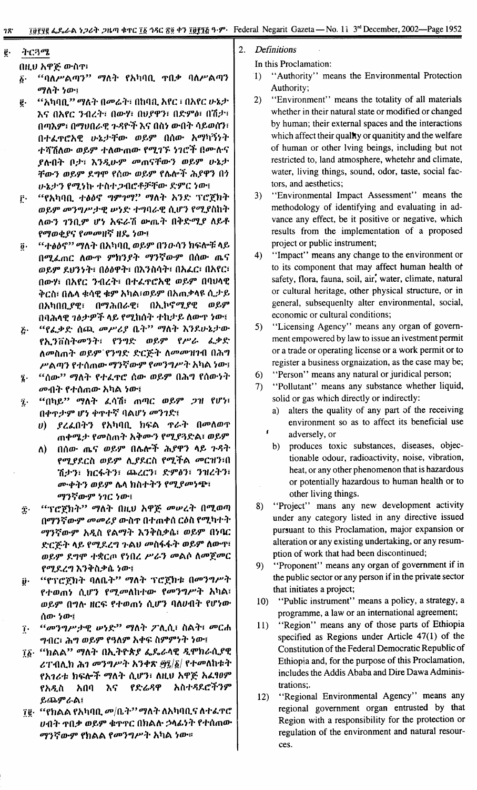ትርጓሜ ĝ.

በዚህ አዋጅ ውስዋ፣

"ባለሥልጣን" ማለት የአካባቢ ተበቃ ባለሥልጣን  $\boldsymbol{\delta}$ . ማለት ነው፣

- "አካባቢ" ማለት በመሬት፣ በከባቢ አየር ፣ በአየር ሁኔታ ę. እና በአየር ንብረት፣ በውሃ፣ በህያዋን፣ በድምፅ፣ በሽታ፣ በጣእም፣ በማህበራዊ ጉዳዮች እና በስነ ውበት ሳይወሰን፣ በተፈዋሮአዊ ሁኔታቸው ወይም በሰው አማካኝነት ተሻሽለው ወይም ተለውጠው የሚገኙ ነገሮች በሙሉና ያሉበት ቦታ፣ እንዲሁም መጠናቸውን ወይም ሁኔታ ቸውን ወይም ደግሞ የሰው ወይም የሴሎች ሕያዋን በነ ሁኔታን የሚነኩ ተስተጋብሮቶቻቸው ድምር ነው፤
- "የአካባቢ ተፅዕኖ ግምገማ?" ማለት አንድ ፕሮጀክት  $\mathbf{r}$ . ወይም መንግሥታዊ ሠነድ ተግባራዊ ሲሆን የሚያስከት ለውን ገንቢም ሆነ አፍራሽ ውጤት በቅድሚያ ለይቶ የማወቂያና የመመዘኛ ዘዴ ነው፤
- *''ተፅዕኖ'' ማ*ለት በአካባቢ ወይም በንውሳን ክፍሎቹ ላይ  $\ddot{\mathbf{0}}\cdot$ በሚፌጠር ለውዋ ምክንያት ማንኛውም በሰው ጤና ወይም ደህንነት፣ በዕፅዋት፣ በእንስሳት፣ በአፌር፣ በአየር፣ በውሃ፣ በአየር ንብረት፣ በተፈዋሮአዊ ወይም በባህላዊ ቅርስ፣ በሌላ ቁሳዊ ቁም አካል፣ወይም በአጠቃላዩ ሲታይ በአካበቢያዊ፣ በማሕበራዊ፣ በኢኮኖሚያዊ ወይም በባሕሳዊ ገፅታዎች ላይ የሚከሰት ተከታይ ለውዋ ነው፤
- "የፌቃድ ሰጪ መሥሪያ ቤት" ማለት እንደሁኔታው ٤٠ የኢንቨስትመንት፣ የንግድ ወይም የሥራ ፌቃድ ለመስጠት ወይም`የንግድ ድርጅት ለመመዝገብ በሕግ ሥልጣን የተሰጠው ማንኛውም የመንግሥት አካል ነው፤
- "ሰው'' ማለት የተፈዋሮ ሰው ወይም በሕግ የሰውነት ź. *መ*ብት የተሰጠው አካል ነው፤
- "በካይ" ማለት ፈሳሽ፣ ጠጣር ወይም ጋዝ የሆነ፣ ĩ. በቀጥታም ሆነ ቀጥተኛ ባልሆነ መንገድ፤
	- *ያረ*ፌበትን የአካባቢ ክፍል *ፕራት በመ*ለወዋ  $\boldsymbol{\theta}$ ጠቀሜታ የመስጠት አቅሙን የሚያጓድል፣ ወይም
	- በሰው ጤና ወይም በሴሎች ሕያዋን ላይ ጉዳት ለ) የሚያደርስ ወይም ሊያደርስ የሚችል መርዝን፣በ ሽታን፣ ክርፋትን፣ ጨረርን፣ ድምፅን፣ ንዝረትን፣ ሙቀትን ወይም ሌላ ክስተትን የሚያመነጭ፣ ማንኛውም ነገር ነው፤
- "ፕሮጀክት" ማለት በዚህ አዋጅ መሠረት በሚወጣ Ϋ. በማንኛውም መመሪያ ውስጥ በተጠቀሰ ርዕስ የሚካተት ማንኛውም አዲስ የልማት እንቅስቃሴ፣ ወይም በነባር ድርጅት ላይ የሚደረግ ጉልህ መስፋፋት ወይም ለውዋ፣ ወይም ደግሞ ተቋርጦ የነበረ ሥራን መልሶ ለመጀመር የሚደረግ እንቅስቃሴ ነው፤
- "የፕሮጀክት ባለቤት" ማለት ፕሮጀክቱ በመንግሥት ij. የተወጠነ ሲሆን የሚመለከተው የመንግሥት አካል፣ ወይም በግሉ ዘርፍ የተወጠነ ሲሆን ባለሀብት የሆነው ሰው ነው፤
- "መንግሥታዊ ሠነድ" ማለት ፖሊሲ፣ ስልት፣ መርሐ Ţ٠ ግብር፣ ሕግ ወይም የዓለም አቀፍ ስምምነት ነው፤
- *ገδ· "ከልል" ማ*ለት በኢትዮጵ*ያ ፌ*ዴራላዊ *ዲ*ሞክራሲያዊ ሪፐብሊክ ሕገ መንግሥት አንቀጽ ፵፬/፩/ የተመለከቱት የአገሪቱ ክፍሎች ማለት ሲሆን፣ ለዚህ አዋጅ አፈፃፀም አበባ እና የድሬዳዋ አስተዳደሮችንም የአዲስ ይጨምራል፤
- 7፪· "የክልል የአካባቢ መ/ቤት'' ማለት ለአካባቢና ለተፈጥሮ ሀብት ተበቃ ወይም ቁተተር በክልሱ ኃላፊነት የተሰጠው *ማንኛውም የክ*ልል የመንግሥት አካል ነው።
- $\overline{2}$ . **Definitions** 
	- In this Proclamation:
		- "Authority" means the Environmental Protection  $\left(1\right)$ Authority:
		- "Environment" means the totality of all materials  $\overline{2}$ whether in their natural state or modified or changed by human; their external spaces and the interactions which affect their quality or quanitity and the welfare of human or other lving beings, including but not restricted to, land atmosphere, whetehr and climate, water, living things, sound, odor, taste, social factors, and aesthetics;
		- "Environmental Impact Assessment" means the  $3)$ methodology of identifying and evaluating in advance any effect, be it positive or negative, which results from the implementation of a proposed project or public instrument;
		- "Impact" means any change to the environment or  $4)$ to its component that may affect human health of safety, flora, fauna, soil, air, water, climate, natural or cultural heritage, other physical structure, or in general, subsequenity alter environmental, social, economic or cultural conditions;
		- "Licensing Agency" means any organ of govern- $5)$ ment empowered by law to issue an ivestment permit or a trade or operating license or a work permit or to register a business orgnaization, as the case may be;
		- $6)$ "Person" means any natural or juridical person;
		- $(7)$ "Pollutant" means any substance whether liquid, solid or gas which directly or indirectly:
			- alters the quality of any part of the receiving  $a)$ environment so as to affect its beneficial use adversely, or
			- b) produces toxic substances, diseases, objectionable odour, radioactivity, noise, vibration, heat, or any other phenomenon that is hazardous or potentially hazardous to human health or to other living things.
		- "Project" mans any new development activity 8) under any category listed in any directive issued pursuant to this Proclamation, major expansion or alteration or any existing undertaking, or any resumption of work that had been discontinued;
		- "Proponent" means any organ of government if in  $9)$ the public sector or any person if in the private sector that initiates a project;
		- $10<sub>1</sub>$ "Public instrument" means a policy, a strategy, a programme, a law or an international agreement;
		- "Region" means any of those parts of Ethiopia 11) specified as Regions under Article 47(1) of the Constitution of the Federal Democratic Republic of Ethiopia and, for the purpose of this Proclamation, includes the Addis Ababa and Dire Dawa Administrations:.
		- "Regional Environmental Agency" means any  $12)$ regional government organ entrusted by that Region with a responsibility for the protection or regulation of the environment and natural resources.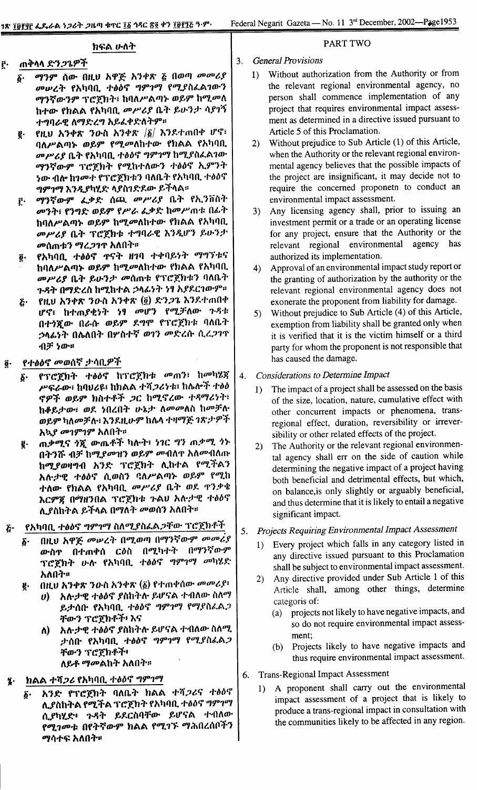### ክፍል ሁለት

#### ጠቅላላ ድን*ጋጌዎች* ŗ٠

- ማንም ሰው በዚህ አዋጅ አንቀጽ ፩ በወጣ መመሪያ δ. መሥረት የአካባቢ ተፅዕኖ ግምገማ የሚያስፌልገውን ማንኛውንም ፕሮጀክት፣ ከባለሥልጣኑ ወይም ከሚመለ ከተው የክልል የአካባቢ መሥሪያ ቤት ይሁንታ ሳያገኝ ተግባራዊ ለማድረግ አይፌቀድለትም።
- የዚህ አንቀጽ ንውስ አንቀጽ  $|\xi|$  እንደተጠበቀ ሆኖ፣ g. ባለሥልጣኑ ወይም የሚመለከተው የክልል የአካባቢ መሥሪያ ቤት የአካባቢ ተፅዕኖ ግምገማ ከሚያስፌልገው ማንኛውም ፕሮጀክት የሚከተለውን ተፅዕኖ ኢምንት <u>ነው ብሎ ከገመተ የፕሮጀክቱን ባለቤት የአካባቢ ተፅዕኖ</u> ግምገማ እንዲያካሂድ ላያስገድደው ይችላል።
- ማንኛውም ፌቃድ ሰጪ መሥሪያ ቤት የኢንቨስት ŕ. መንት፣ የንግድ ወይም የሥራ ፌቃድ ከመሥጠቱ በፊት ከባለሥልጣኑ ወይም ከሚመለከተው የክልል የአካባቢ መሥሪያ ቤት ፕሮጀክቱ ተግባራዊ እንዲሆን ይሁንታ መሰጠቱን ማረጋገጥ አለበት።
- የአካባቢ ተፅዕኖ ዋናት ዘገባ ተቀባይነት ማግኘቱና Õ٠ ከባለሥልጣኑ ወይም ከሚመለከተው የክልል የአካባቢ መሥሪያ ቤት ይሁንታ መሰጠቱ የፕሮጀክቱን ባለቤት ጉዳት በማድረስ ከሚከተል ኃላፊነት ነፃ አያደርገውም።
- የዚህ አንቀጽ ንውስ አንቀጽ (፬) ድን*ጋ*ጌ እንደተጠበቀ  $\tilde{c}$ . ሆኖ፣ ከተጠያቂነት ነፃ መሆን የሚቻለው ጉዳቱ በተንሿው በራሱ ወይም ደግሞ የፕሮጀክቱ ባለቤት ኃላፊነት በሌለበት በሦስተኛ ወገን **መድረ**ሱ ሲረ*ጋገ*ጥ ብቻ ነው።
- የተፅዕኖ መወሰኛ ታሳቢዎች õ.
	- የፕሮጀክት ተፅዕኖ ከፕሮጀክቱ መጠን፣ ከመካሂጃ δ. ሥፍራው፣ ከባህሪዩ፣ ከክልል ተሻ*ጋ*ሪነቱ፣ ከሌሎች ተፅዕ ኖዎች ወይም ክስተቶች ጋር ከሚኖረው ተዳማሪነት፣ ከቆይታው፣ ወደ ነበረበት ሁኔታ ለመመለስ ከመቻሉ ወይም ካለመቻሉ፣ እንደዚሁም ከሴላ ተዛማጅ ገጽታዎች አኳ*ያ መገምገም አ*ለበት።
	- ጠቃሚና ጎጂ ውጤቶች ካሉት፣ ነገር ግን ጠቃሚ ጎኑ ę. በትንሹ ብቻ ከሚያመዝን ወይም መብለዋ አለመብለጡ ከሚያወዛግብ አንድ ፕሮጀክት ሊከተል የሚችልን አሉታዊ ተፅዕኖ ሲወስን ባለሥልጣኑ ወይም የሚከ ተ<mark>ለው የክልል የ</mark>አካባቢ *መሥሪያ* ቤት ወደ ዋንቃቄ እርምጃ በማዘንበል ፕሮጀክቱ ጉልህ አሉታዊ ተፅዕኖ ሊያስከትል ይችላል በማለት መወሰን አለበት።
- የአካባቢ ተፅዕኖ ግምገማ ስለሚያስፌልጋቸው ፕሮጀክቶች ۶۰
	- በዚህ አዋጅ መሠረት በሚወጣ በማንኛውም መመሪያ б. በማንኛውም ውስዋ በተጠቀሰ ርዕስ በሚካተት ፕሮጀክት ሁሉ የአካባቢ ተፅዕኖ *ግምገማ መ*ካሂድ አለበት።
	- በዚህ አንቀጽ ንውስ አንቀጽ (፩) የተጠቀሰው መመሪያ፥ ğ.
		- ሀ) አሉታዊ ተፅዕኖ ያስከትሉ ይሆናል ተብለው ስለማ ይታሰቡ የአካባቢ ተፅዕኖ ግምገማ የማያስፈልጋ ቸውን ፕሮጀክቶች፡ እና
		- ለ) አሉታዊ ተፅዕኖ ያስከትሉ ይሆናል ተብለው ስለሚ ታሰቡ የአካባቢ ተፅዕኖ *ግምገግ የሚያ*ስፈል*ጋ* ቸውን ፕሮጀክቶች፥

ለይቶ *ማመ*ልከት አለበት።

### ክልል ተሻ*ጋሪ* የአካባቢ ተፅዕኖ *ግምገማ*

አንድ የፕሮጀክት ባለቤት ክልል ተሻጋሪና ተፅዕኖ δ. ሊያስከትል የሚችል ፕሮጀክት የአካባቢ ተፅዕኖ ግምገማ ሲያካሂድ፥ ጉዳት ይደርስባቸው ይሆናል ተብለው የሚገመቱ በየትኛውም ክልል የሚገኙ ማሕበረሰቦችን ማሳተፍ አለበት።

# **PART TWO**

### **General Provisions**

 $3.$ 

- Without authorization from the Authority or from  $1<sub>1</sub>$ the relevant regional environmental agency, no person shall commence implementation of any project that requires environmental impact assessment as determined in a directive issued pursuant to Article 5 of this Proclamation.
- Without prejudice to Sub Article (1) of this Article,  $(2)$ when the Authority or the relevant regional environmental agency believes that the possible impacts of the project are insignificant, it may decide not to require the concerned proponetn to conduct an environmental impact assessment.
- Any licensing agency shall, prior to issuing an  $3)$ investment permit or a trade or an operating license for any project, ensure that the Authority or the relevant regional environmental agency has authorized its implementation.
- Approval of an environmental impact study report or  $4)$ the granting of authorization by the authority or the relevant regional environmental agency does not exonerate the proponent from liability for damage.
- Without prejudice to Sub Article (4) of this Article,  $5)$ exemption from liability shall be granted only when it is verified that it is the victim himself or a third party for whom the proponent is not responsible that has caused the damage.
- **Considerations to Determine Impact**  $4.$ 
	- The impact of a project shall be assessed on the basis  $1)$ of the size, location, nature, cumulative effect with other concurrent impacts or phenomena, transregional effect, duration, reversibility or irreversibility or other related effects of the project.
	- 2) The Authority or the relevant regional environmental agency shall err on the side of caution while determining the negative impact of a project having both beneficial and detrimental effects, but which, on balance, is only slightly or arguably beneficial, and thus determine that it is likely to entail a negative significant impact.

#### Projects Requiring Environmental Impact Assessment 5.

- Every project which falls in any category listed in  $1)$ any directive issued pursuant to this Proclamation shall be subject to environmental impact assessment.
- Any directive provided under Sub Article 1 of this 2) Article shall, among other things, determine categoris of:
	- projects not likely to have negative impacts, and  $(a)$ so do not require environmental impact assessment;
	- Projects likely to have negative impacts and  $(b)$ thus require environmental impact assessment.
- 6. **Trans-Regional Impact Assessment** 
	- A proponent shall carry out the environmental  $1)$ impact assessment of a project that is likely to produce a trans-regional impact in consultation with the communities likely to be affected in any region.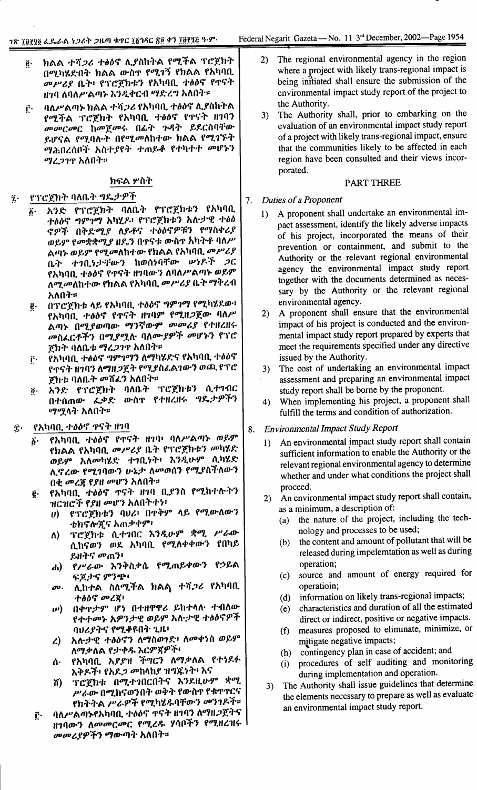- ክልል ተሻ*ጋሪ ተፅዕ*ኖ ሊያስከትል የሚችል ፕሮጀክት ĝ. በሚካሄድበት ክልል ውስዋ የሚገኝ የክልል የአካባቢ መሥሪያ ቤት፥ የፕሮጀክቱን የአካባቢ ተፅዕኖ የዋናት ዘገባ ለባለሥልጣኑ እንዲቀርብ ማድረግ አለበት።
- ባለሥልጣኑ ክልል ተሻ*ጋሪ* የአካባቢ ተፅዕኖ ሊያስከትል  $\hat{\Gamma}$ የሚችል ፕሮጀክት የአካባቢ ተፅዕኖ የዋናት ዘገባን መመርመር ከመጀመሩ በፊት ጉዳት ይደርስባቸው ይሆናል የሚባሉት በየሚመለከተው ክልል የሚገኙት *ማሕ*በረሰቦች አስተ*ያ*የት ተጠይቆ የተካተተ መሆኑን *ማረጋገ*ዋ አለበት።

### ክፍል ሦስት

#### የፕሮጀክት ባለቤት ግዴታዎች  $\hat{\mathbf{z}}$ .

- አንድ የፕሮጀክት ባለቤት የፕሮጀክቱን የአካባቢ  $\boldsymbol{\delta}$ . ተፅዕኖ ግምገማ አካሂዶ፥ የፕሮጀክቱን አሉታዊ ተፅዕ ኖዎች በቅድሚያ ለይቶና ተፅዕኖዎቹን የማስቀሪያ ወይም የመቋቋሚያ ዘዴን በዋናቱ ውስዋ አካትቶ ባለሥ ልጣኑ ወይም የሚ*መ*ለከተው የክልል የአካባቢ መሥሪያ ቤት ተገቢነታቸውን ከወሰነባቸው ሥነዶች ጋር የአካባቢ ተቃዕኖ የዋናት ዘገባውን ለባለሥልጣኑ ወይም ለሚ*መ*ለከተው የክልል የአካባቢ *መሥሪያ* ቤት ማቅረብ አለበት።
- በፕሮጀክቱ ላይ የአካባቢ ተፅዕኖ ግምገማ የሚካሂደው፥  $\mathfrak{g}.$ የአካባቢ ተፅዕኖ የተናት ዘገባም የሚዘ*ጋ*ጀው ባለሥ ልጣኑ በሚያወጣው ማንኛውም *መመሪያ* የተዘረዘሩ *መስፌርቶችን በሚያሟ*ሉ ባለሙ*ያዎች መ*ሆኑን የፕሮ ጀክት ባለቤቱ ማረ*ጋገ*ዋ አለበት።
- የአካባቢ ተፅዕኖ ግምገማን ለማካሄድና የአካባቢ ተፅዕኖ ŗ٠ የዋናት ዘገባን ለማዘ*ጋ*ጀት የሚያስፈልገውን ወጪ የፕሮ ጀክቱ ባለቤት መሸፈን አለበት።
- አንድ የፕሮጀክት ባለቤት ፕሮጀክቱን ሲተገብር  $\ddot{\bm{\theta}}$  . በተሰጠው ፌቃድ ውስኖ የተዘረዘሩ ግዴታዎችን *ማሚ*ላት አለበት።
- የአካባቢ ተፅዕኖ ዋናት ዘገባ Ϋ́·
	- የአካባቢ ተፅዕኖ የጥናት ዘገባ፥ ባለሥልጣኑ ወይም б. የክልል የአካባቢ *መሥሪያ* ቤት የፕሮጀክቱን *መ*ካሄድ ወይም አለመካሂድ ተገቢነት፥ እንዲሁም ሲካሂድ ሊኖረው የሚገባውን ሁኔታ ለመወሰን የሚያስችለውን በቂ መረጃ የያዘ መሆን አለበት።
	- የአካባቢ ተፅዕኖ ዋናት ዘገባ ቢያንስ የሚከተሉትን ğ. ዝርዝሮች የ*ያ*ዘ መሆን አለበትተነ፥
		- የፕሮጀክቱን ባህሪ፥ በዋቅም ላይ የሚውለውን  $\boldsymbol{\theta}$ ቴክኖሎጂና አጠቃቀም፥
		- ፕሮጀክቱ ሲተገበር እንዲሁም ቋሚ ሥራው  $\Lambda$ ሲከናወን ወደ አካባቢ የሚለቀቀውን የበካይ ይዘትና መጠን፥
		- የሥራው እንቅስቃሴ የሚጠይቀውን የኃይል  $\mathbf{d}$ ፍጆታና ምንጭ
		- ሊከተል ስለሚችል ክልል ተሻ*ጋ*ሪ የአካባቢ  $\boldsymbol{\sigma}$ . ተፅዕኖ መረጀ፡
		- በቀዋታም ሆነ በተዘዋዋሪ ይከተላሉ ተብለው  $\boldsymbol{\nu}$ የተተመኑ አዎንታዊ ወይም አሉታዊ ተፅዕኖዎች ባህሪያትና የሚቆዩበት ጊዜ፥
		- አሉታዊ ተፅዕኖን ለማስወገድ፥ ለመቀነስ ወይም  $\mathcal{L}$ ለማቃለል የታቀዱ እርም**ኛዎ**ች፥
		- የአካባቢ አያያዝ ችግርን ለማቃለል የተነደፉ ሰ∙ እቅዶች፥ የአደ*ጋ መ*ከላከያ ዝግጁነት፥ እና
		- ፕሮጀክቱ በሚተገበርበትና እንደዚሁም ቋሚ ሽ) ሥራው በሚከናወንበት ወቅት የውስዋ የቁዋዋርና የክትትል ሥራዎች የሚካሂዱባቸውን መንገዶች።
	- ባለሥልጣኑየአካባቢ ተፅዕኖ ዋናት ዘገባን ለማዘጋጀትና  $\mathbf{r}$ ዘገባውን *ለመመርመር የሚረዱ ሃ*ሳቦችን የሚዘረዝሩ l *መመሪያዎችን ማ*ውጣት አለበት።
- The regional environmental agency in the region  $(2)$ where a project with likely trans-regional impact is being initiated shall ensure the submission of the environmental impact study report of the project to the Authority.
- The Authority shall, prior to embarking on the  $3)$ evaluation of an environmental impact study report of a project with likely trans-regional impact, ensure that the communities likely to be affected in each region have been consulted and their views incorporated.

### **PART THREE**

#### Duties of a Proponent  $7.$

- A proponent shall undertake an environmental im- $1)$ pact assessment, identify the likely adverse impacts of his project, incorporated the means of their prevention or containment, and submit to the Authority or the relevant regional environmental agency the environmental impact study report together with the documents determined as necessary by the Authority or the relevant regional environmental agency.
- A proponent shall ensure that the environmental  $2)$ impact of his project is conducted and the environmental impact study report prepared by experts that meet the requirements specified under any directive issued by the Authority.
- The cost of undertaking an environmental impact  $3)$ assessment and preparing an environmental impact study report shall be borne by the proponent.
- When implementing his project, a proponent shall  $4)$ fulfill the terms and condition of authorization.
- **Environmental Impact Study Report** 8.
	- An environmental impact study report shall contain  $1)$ sufficient information to enable the Authority or the relevant regional environmental agency to determine whether and under what conditions the project shall proceed.
	- An environmental impact study report shall contain,  $2)$ as a minimum, a description of:
		- the nature of the project, including the tech- $(a)$ nology and processes to be used;
		- the content and amount of pollutant that will be  $(b)$ released during impelemtation as well as during operation;
		- (c) source and amount of energy required for operatioin;
		- information on likely trans-regional impacts;  $(d)$
		- (e) characteristics and duration of all the estimated direct or indirect, positive or negative impacts.
		- measures proposed to eliminate, minimize, or  $(f)$ mitigate negative impacts;
		- (h) contingency plan in case of accident; and
		- procedures of self auditing and monitoring  $(i)$ during implementation and operation.
	- The Authority shall issue guidelines that determine  $3)$ the elements necessary to prepare as well as evaluate an environmental impact study report.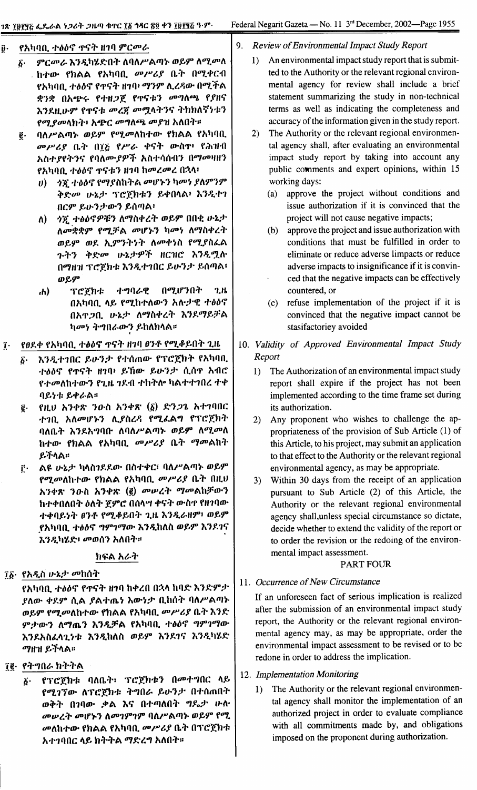#### የአካባቢ ተፅዕኖ ዋናት ዘገባ ምር*መራ*  $\ddot{\theta}$  .

- ምርመራ እንዲካሄድበት ለባለሥልጣኑ ወይም ለሚመለ  $\boldsymbol{\hat{b}}$ . . ከተው የክልል የአካባቢ *መሥሪያ* ቤት በሚቀርብ የአካባቢ ተፅዕኖ የጥናት ዘገባ፥ ማንም ሊረዳው በሚችል ቋንቋ በአጭሩ የተዘ*ጋ*ጀ የጥናቱን መግለጫ የያዘና እንደዚሁም የጥናቱ መረጃ መሟላትንና ትክክለኛነቱን የማያመላክት፥ አጭር መግለጫ መያዝ አለበት።
- ባለሥልጣኑ ወይም የሚመለከተው የክልል የአካባቢ  $\ddot{\mathbf{e}}$ . መሥሪያ ቤት በ፲፩ የሥራ ቀናት ውስጥ የሕዝብ አስተያየትንና የባለሙያዎች አስተሳሰብን በማመዛዘን የአካባቢ ተፅዕኖ ዋናቱን ዘገባ ከመረመረ በኋላ፣
	- *ጎኚ ተፅዕኖ የማያ*ስከትል መሆኑን ካመነ ያለምንም  $\boldsymbol{\theta}$ ቅድመ ሁኔታ ፕሮጀክቱን ይቀበላል፥ እንዲተገ በርም ይሁንታውን ይሰጣል፡
	- $\Lambda$ ) ኃጀ ተፅዕኖዎቹን ለማስቀረት ወይም በበቂ ሁኔታ ለመቋቋም የሚቻል መሆኑን ካመነ ለማስቀረት ወይም ወደ ኢምንትነት ለመቀነስ የሚያስፈል ጉትን ቅድመ ሁኔታዎች ዘርዝሮ እንዲሟሉ በማዘዝ ፕሮጀክቱ እንዲተገበር ይሁንታ ይሰጣል፥ ወይም
	- ተግባራዊ በሚሆንበት  $2<sub>h</sub>$  $\bf{d}$ ፕሮጀክቱ በአካባቢ ላይ የሚከተለውን አሉታዊ ተፅዕኖ በአዋጋቢ ሁኔታ ለማስቀረት እንደማይቻል ካመነ ትግበራውን ይከለክላል።
- የፀደቀ የአካባቢ ተፅዕኖ ጥናት ዘገባ ፀንቶ የሚቆይበት ጊዜ  $\mathbf{\hat{i}}$ 
	- እንዲተገበር ይሁንታ የተሰጠው የፕሮጀክት የአካባቢ Б. ተፅዕኖ የዋናት ዘገባ፥ ይኸው ይሁንታ ሲሰዋ አብሮ የተመለከተውን የጊዜ ገደብ ተከትሎ ካልተተገበረ ተቀ ባይነቱ ይቀራል።
	- የዚህ አንቀጽ ንውስ አንቀጽ  $(\tilde{\mathfrak{g}})$  ድንጋጌ አተገባበር ĝ. ተገቢ አለመሆኑን ሊያስረዳ የሚፌልግ የፕሮጀክት ባለቤት እንደአግባቡ ለባለሥልጣኑ ወይም ለሚመለ ከተው የክልል የአካባቢ መሥሪያ ቤት ማመልከት ይችላል።
	- ልዩ ሁኔታ ካላስንደደው በስተቀር፣ ባለሥልጣኑ ወይም  $\mathbf{r}$ *የሚመ*ለከተው የክልል የአካባቢ *መሥሪያ* ቤት በዚህ አንቀጽ ንዑስ አንቀጽ (፪) መሠረት ማመልከቻውን ከተቀበለበት ዕለት ጀምሮ በሰላሣ ቀናት ውስጥ የዘገባው ተቀባይነት ፀንቶ የሚቆይበት ጊዜ እንዲራዘም፣ ወይም የአካባቢ ተፅዕኖ ግምገማው እንዲከለስ ወይም እንደገና እንዲካሄድ፥ መወሰን አለበት።

# ክፍል አራት

# ፲፩· የአዲስ ሁኔታ መከሰት

- የአካባቢ ተፅዕኖ የዋናት ዘገባ ከቀረበ በኋላ ከባድ እንድምታ ያለው ቀደም ሲል ያልተጨነ እውነታ ቢከሰት ባለሥልጣኑ ወይም የሚመለከተው የክልል የአካባቢ መሥሪያ ቤት እንድ ምታውን ለማጤን እንዲቻል የአካባቢ ተፅዕኖ ግምገማው እንደአስፈላጊነቱ እንዲከለስ ወይም እንደ1ና እንዲካሄድ *ማ*ዘዝ ይችላል።
- ፲፪· የትግበራ ክትትል
	- የፕሮጀክቱ ባለቤት፣ ፕሮጀክቱን በመተግበር ላይ ĝ٠ የሚገኘው ለፕሮጀክቱ ትግበራ ይሁንታ በተሰጠበት ወቅት በገባው ቃል እና በተጣለበት ግዴታ ሁሉ መሠረት መሆኑን ስመገምገም ባለሥልጣኑ ወይም የሚ መለከተው የክልል የአካባቢ መሥሪያ ቤት በፕሮጀክቱ አተገባበር ላይ ክትትል ማድረግ አለበት።

#### $9<sub>1</sub>$ **Review of Environmental Impact Study Report**

- An environmental impact study report that is submit- $1$ ted to the Authority or the relevant regional environmental agency for review shall include a brief statement summarizing the study in non-technical terms as well as indicating the completeness and accuracy of the information given in the study report.
- The Authority or the relevant regional environmen- $(2)$ tal agency shall, after evaluating an environmental impact study report by taking into account any public comments and expert opinions, within 15 working days:
	- (a) approve the project without conditions and issue authorization if it is convinced that the project will not cause negative impacts;
	- (b) approve the project and issue authorization with conditions that must be fulfilled in order to eliminate or reduce adverse limpacts or reduce adverse impacts to insignificance if it is convinced that the negative impacts can be effectively countered, or
	- (c) refuse implementation of the project if it is convinced that the negative impact cannot be stasifactoriey avoided
- 10. Validity of Approved Environmental Impact Study Report
	- 1) The Authorization of an environmental impact study report shall expire if the project has not been implemented according to the time frame set during its authorization.
	- 2) Any proponent who wishes to challenge the appropriateness of the provision of Sub Article (1) of this Article, to his project, may submit an application to that effect to the Authority or the relevant regional environmental agency, as may be appropriate.
	- 3) Within 30 days from the receipt of an application pursuant to Sub Article (2) of this Article, the Authority or the relevant regional environmental agency shall, unless special circumstance so dictate, decide whether to extend the validity of the report or to order the revision or the redoing of the environmental impact assessment.

# **PART FOUR**

# 11. Occurrence of New Circumstance

If an unforeseen fact of serious implication is realized after the submission of an environmental impact study report, the Authority or the relevant regional environmental agency may, as may be appropriate, order the environmental impact assessment to be revised or to be redone in order to address the implication.

- 12. Implementation Monitoring
	- The Authority or the relevant regional environmen- $1)$ tal agency shall monitor the implementation of an authorized project in order to evaluate compliance with all commitments made by, and obligations imposed on the proponent during authorization.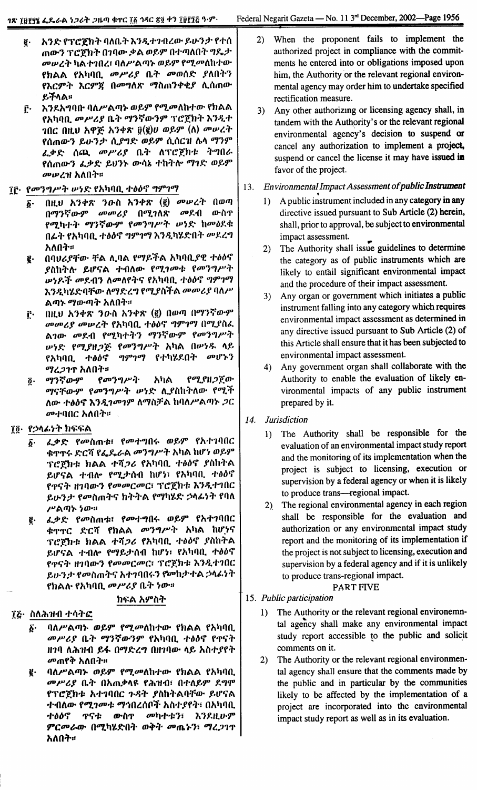- I' 1\'H': fT C'~h"" 11A0."" h').It *i'111l* OJ-1-*V-*'):t' f i'(} ጠውን ፕሮጀክት በገባው ቃል ወይም በተጣለበት ግዴታ *መሠረት* ካልተገበረ፣ ባለሥልጣኑ ወይም የሚመለከተው fhAA f1\talltl. *00P't1* 0."" *OD(JJ{}f:* 1AO""') **የእርምት እርምጃ በመግለጽ ማስጠንቀቂያ ሊሰጠው** ይችላል።
- C. *h,)1.1\"'Il~* llAP'Atq~ *(JJ~9"* fOtOOAhi'OJ- fhAA f 1\ta11tl. 00 P' *1,1* 0."" *OIJ')*~ OJ-')9" T C'~h"" *h* ').It i' 10C OttO 1\'P~ 1\,)"'~ il(l)v *(JJ~9"* (A) *ODlPl""* f(}I11OJ-') *~lJo'):t' fl.1",f: (JJ~9"* fl.(}C1I A.It *try')9"* ፈቃድ ሰጪ *መሥሪያ* ቤት ለፕሮጀክቱ ትግበራ f (}111OJ-') ~:1' *f:* ~ <sup>0</sup> ').,. *OJ-");* i' h..,. "" *try*1 *f:* (JJ1-9" 00 *lP l1l* 1\A0""::
- $\tilde{I}$ ຼົ້າ: *የመንግሥት ሡነ*ድ የአካባቢ ተፅዕኖ *ግምገማ* 
	- $\delta$ · በዚህ አንቀጽ ንዑስ አንቀጽ (፪) *መ*ሥረት በወጣ በማንኛውም መመሪያ በሚገለጽ መደብ ውስ**ዋ** fOt tai''''' *try')* ~OJ-9" <sup>f</sup> 00')'" P''''' *lP* '1*f:* hOD,)1.<k በፊት የአካባቢ ተፅዕኖ *ግምገማ* እንዲካሄድበት መደረግ አለበት።
	- I' 0IlOt1:fOJ-:fA l\.IlA ftry~~A 1\talltl.1lf *i',)iJtj* ያስከትሉ ይሆናል ተብለው የሚገመቱ የመንግሥት  $\mu$ ነዶች መደብን ለመለየትና የአካባቢ ተፅዕኖ ግምገማ እንዲካሄድባቸው ለማድረግ የሚያስችል *መመሪያ* ባለሥ ልጣኑ *ማ*ውጣት አለበት።
	- C' OttO *h')+~ ')o-il* 1\,)"'~ (I) O(JJfI} *Otry')<;:OJ-9"* OD OD *1,1* OD *lP l""* <sup>f</sup> 1\ta11tl. *i',)iJ* tj *"'9"1try* <sup>0</sup> Ot1 il <sup>~</sup> ልገው *መ*ደብ የሚካተትን ማንኛውም የመንግሥት  $\psi$ ነድ የሚያዘ*ጋ*ጅ የመንግሥት አካል በሥነዱ ላይ fአካባቢ ተ*ፅዕኖ ግምገማ* የተካሄደበት መሆኑን *ማረጋገ*ጥ አለበት።
	- *ግረጋገ*ዋ ለለሀዋ።<br>፩. <mark>ማንኛውም የመን</mark>ግሥት አካል የሚያዘ*ጋ*ጀው *ማናቸውም የመንግሥት ሡነ*ድ ሲያስከትለው የሚች ለው *ተፅዕኖ እንዲገመገም ለማ*ስቻል ከባለሥልጣኑ *ጋ*ር መተባበር አለበት።
- ፲፬· የኃላፊነት ክፍፍል
	- $\tilde{\varrho}\hspace{-1.5pt}\bar{\;\hspace{-1.2pt}\bar{}\hspace{1.2pt}}$  / ራ.ቃድ የመስጠቱ፣ የመተግበሩ ወይም የአተገባበር <mark>ቁ</mark>ዋዋሩ ድርሻ የፌዴራል መንግሥት አካል ከሆነ ወይም TC`g`hቱ ክልል ተሻ*ጋሪ* የአካባቢ ተፅዕኖ ያስከትል ይሆናል ተብሎ የሚ*ታ*ሰብ ከሆነ፣ የአካባቢ ተፅዕና "" የዋናተ ዘገባው*ን የመመርመር*፣ ፕሮደክቱ *አንዲ*ተገ ይሁን*ታ የመ*ስጠትና ክትትል *የማካሄድ ኃ*ላፊነት የባለ ሥልጣ**ኑ ነው።**
	- <u>፪</u>· ፈቃድ የመስጠቱ፤ የመተግበሩ ወይም የአተገባበር ቱጥፐር ድርሻ የክልል *መንግሥት* አካል ከሆነና TCጀክቱ ክልል ተሻ*ጋሪ* የአካባቢ ተፅዕኖ ያስከትል ይሆናል ተብሎ የማይታሰብ ከሆነ፣ የአካባቢ ተፅዕና "" f'J'Ij"" "111OJ-') fODODCODC: TC'~hi: *h* ').It i'1 OC ይሁ*ንታ የመ*ስጠትና አተገባበሩን የመከታተል ኃላፊነት fhAft- f1\talltl. *00, 1,1* 0."" *'1OJ-::*

# ከፍል አምስት

- *፲*፭· ስለሕዝብ ተሳትፎ
	- $\tilde{\mathbf{p}}$ · ባለሥልጣኑ ወይም የሚመለከተው የክልል የአካባቢ *መሥሪያ* ቤት ማንኛውንም የአካባቢ ተፅዕኖ የጥናት *ዘገ*ባ ለሕዝብ ይፋ በማድረግ በዘገባው ላይ አስተ*ያ*የት *መ*ጠየቅ አለበት።
	- $I$ <sup>2</sup> ባለሥልጣኑ ወይም የሚመለከተው የክልል የአካባቢ *መሥሪያ* ቤት በአጠቃላዩ የሕዝብ፣ በተለይም ደ*ግ*ሞ የፕሮጀክቱ አተገባበር ጉዳት ያስከትልባቸው ይሆናል ተብለው የ*ሚገሙቱ ማኅ*በረሰቦች አስተ*ያ*የት፣ በአካባቢ ተፅዕኖ **ኖናቱ ውስ**ዋ መካተቱን፣ እንደዚሁም *9"Coot-lI1"* OOtta~f:O"" *(JJ:"""* oom. ~'): *OIJl;J1'J'* አለበት።
- 2) When the proponent fails to implement the authorized project in compliance with the commitments he entered into or obligations imposed upon him, the Authority or the relevant regional environmental agency may order him to undertake specified rectification measure.
- 3) Any other authorizmg or licensing agency shall, in tandem with the Authority's or the relevant regional environmental agency's decision to suspend or cancel any authorization to implement a project, suspend or cancel the license it may have issued in favor of the project.
- 13. *En vironmentalImpact Assessment of public Instrument* .
	- 1) A public instrument included in any category in any directive issued pursuant to Sub Article (2) herein, shall, prior to approval, be subject to environmental impact assessment. ..
	- 2) The Authority shall issue guidelines to determine the category as of public instruments which are likely to entail significant environmental impact and the procedure of their impact assessment.
	- 3) Any organ or government which initiates a public instrument falling into any category which requires environmental impact assessment as determined in any directive issued pursuant to Sub Article (2) of this Article shall ensure that it has been subjected to environmental impact assessment.
	- 4) Any government organ shall collaborate with the Authority to enable the evaluation of likely environmental impacts of any public instrument prepared by it.
- 14. *Jurisdiction*
	- 1) The Authority shall be responsible for the evaluation of an environmental impact study report and the monitoring of its implementation when the project is subject to licensing, execution or supervision by a federal agency or when it is likely to produce trans-regional impact.
	- 2} The regional environmental agency in each region shall be responsible for the evaluation and authorization or any environmental impact study report and the monitoring of its implementation if the project is not subject to licensing, execution and supervision by a federal agency and if it is unlikely to produce trans-regional impact.

PART FIVE

- 15. *Public participation*
	- 1) The Authority or the relevant regional environemntal agency shall make any environmental impact study report accessible to the public and solicit comments on it.
	- 2) The Authority or the relevant regional environmental agency shall ensure that the comments made by the public and in particular by the communities likely to be affected by the implementation of a project are incorporated into the environmental impact study report as well as in its evaluation.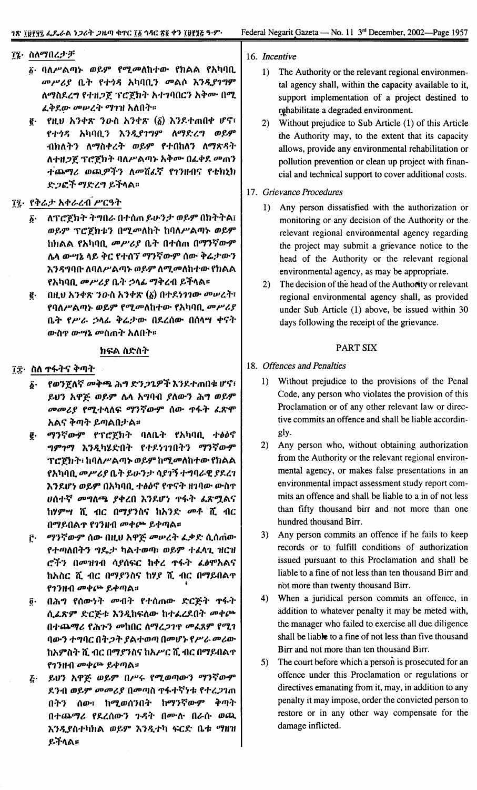### ፲፮・ ስለማበረታቻ

- ፩· ባለሥልጣኑ ወይም የሚመለከተው የክልል የአካባቢ መሥሪያ ቤት የተጎዳ አካባቢን መልሶ እንዲያገግም ለማስደረግ የተዘጋጀ ፕሮጀክት አተገባበርን አቅሙ በሚ ፈቅደው መሥረት ማገዝ አለበት።
- $\overline{e}$ . የዚህ አንቀጽ ንውስ አንቀጽ  $(\underline{\delta})$  እንደተጠበቀ ሆኖ፣ የተጎዳ አካባቢን እንዲያገግም ለማድረግ ወይም ብክለትን ለማስቀረት ወይም የተበከለን ለማጽዳት ለተዘጋጀ ፕሮጀክት ባለሥልጣኑ አቅሙ በፈቀደ መጠን ተጨማሪ ወጪዎችን ለመሸፈኛ የገንዘብና የቴክኒክ ድጋፎች ማድረግ ይችላል።

# ፲፯· የቅሬታ አቀራረብ ሥርዓት

- δ· ለፕሮጀክት ትግበራ በተሰጠ ይሁንታ ወይም በክትትል፤ ወይም ፕሮጀክቱን በሚመለከት ከባለሥልጣኑ ወይም ከክልል የአካባቢ መሥሪያ ቤት በተሰጠ በማንኛውም ሌላ ውሣኔ ላይ ቅር የተሰኘ ማንኛውም ሰው ቅሬታውን እንዳግባቡ ለባለሥልጣኑ ወይም ለሚመለከተው የክልል የአካባቢ መሥሪያ ቤት ኃላፊ ማቅረብ ይችላል።
- በዚህ አንቀጽ ንውስ አንቀጽ  $(\delta)$  በተደነገገው መሠረት፣  $\vec{e}$ . የባለሥልጣኑ ወይም የሚመለከተው የአካባቢ መሥሪያ ቤት የሥራ ኃላፊ ቅሬታው በደረሰው በሰላሣ ቀናት ውስ**ዋ ው**ሣኔ መስጠት አለበት።

### ክፍል ስድስት

- ፲፰· ስለ ዋፋትና ቅጣት
	- δ· የወንጀለኛ መቅጫ ሕግ ድን*ጋጌዎች* እንደተጠበቁ ሆኖ፣ ይህን አዋጅ ወይም ሴላ አግባብ ያለውን ሕግ ወይም መመሪያ የሚተላለፍ ማንኛውም ሰው ዋፋት ፌጽሞ አልና ቅጣት ይጣልበታል።
	- ማንኛውም የፕሮጀክት ባለቤት የአካባቢ ተፅዕኖ  $\vec{e}$  . ግምገማ እንዲካሄድበት የተደነገገበትን ማንኛውም ፕሮጀክት፣ ከባለሥልጣኑ ወይም ከሚመለከተው የክልል የአካባቢ መሥሪያ ቤት ይሁንታ ሳያገኝ ተግባራዊ ያደረገ እንደሆነ ወይም በአካባቢ ተፅዕኖ የዋናት ዘገባው ውስዋ ሀሰተኛ መግለጫ ያቀረበ እንደሆነ ዋፋት ፌጽሟልና ከሃምሣ ሺ ብር በማያንስና ከአንድ መቶ ሺ ብር በማይበልጥ የገንዘብ መቀጮ ይቀጣል።
	- ማንኛውም ሰው በዚህ አዋጅ መሠረት ፌቃድ ሲሰጠው ŕ٠. የተጣለበትን ግዴታ ካልተወጣ፣ ወይም ተፈላጊ ዝርዝ ሮችን በመዝገብ ሳያሰፍር ከቀረ ዋፋት ፌፅሞአልና ከአስር ሺ ብር በማያንስና ከሃያ ሺ ብር በማይበልተ የገንዘብ መቀጮ ይቀጣል።
	- በሕግ የሰውነት መብት የተሰጠው ድርጅት ዋፋት  $\vec{\mathbf{0}}$ . ሲፈጽም ድርጅቱ እንዲከፍለው ከተፈረደበት መቀጮ በተጨማሪ የሕጉን መከበር ለማረጋገዋ መፈጸም የሚገ ባውን ተግባር በትጋት ያልተወጣ በመሆኑ የሥራ መሪው ከአምስት ሺ ብር በማያንስና ከአሥር ሺ ብር በማይበልተ የገንዘብ መቀጮ ይቀጣል።
	- <u>ሯ</u>· ይህን አዋጅ ወይም በሥሩ የሚወጣውን ማንኛውም ደንብ ወይም መመሪያ በመጣስ ዋፋተኛነቱ የተረጋገጠ በትን ሰው፣ ከሚወሰንበት ከማንኛውም ቅጣት በተጨማሪ የደረሰውን ጉዳት በሙሉ በራሱ ወጪ እንዲያስተካክል ወይም እንዲተካ ፍርድ ቤቱ ማዘዝ ይችላል።
- 16. Incentive
	- $1)$ The Authority or the relevant regional environmental agency shall, within the capacity available to it. support implementation of a project destined to rehabilitate a degraded environment.
	- $2)$ Without prejudice to Sub Article (1) of this Article the Authority may, to the extent that its capacity allows, provide any environmental rehabilitation or pollution prevention or clean up project with financial and technical support to cover additional costs.

### 17. Grievance Procedures

- 1) Any person dissatisfied with the authorization or monitoring or any decision of the Authority or the relevant regional environmental agency regarding the project may submit a grievance notice to the head of the Authority or the relevant regional environmental agency, as may be appropriate.
- The decision of the head of the Authority or relevant  $2)$ regional environmental agency shall, as provided under Sub Article (1) above, be issued within 30 days following the receipt of the grievance.

### **PART SIX**

### 18. Offences and Penalties

- 1) Without prejudice to the provisions of the Penal Code, any person who violates the provision of this Proclamation or of any other relevant law or directive commits an offence and shall be liable accordingly.
- 2) Any person who, without obtaining authorization from the Authority or the relevant regional environmental agency, or makes false presentations in an environmental impact assessment study report commits an offence and shall be liable to a in of not less than fifty thousand birr and not more than one hundred thousand Birr.
- 3) Any person commits an offence if he fails to keep records or to fulfill conditions of authorization issued pursuant to this Proclamation and shall be liable to a fine of not less than ten thousand Birr and not more than twenty thousand Birr.
- $4)$ When a juridical person commits an offence, in addition to whatever penalty it may be meted with, the manager who failed to exercise all due diligence shall be liable to a fine of not less than five thousand Birr and not more than ten thousand Birr.
- The court before which a person is prosecuted for an  $5)$ offence under this Proclamation or regulations or directives emanating from it, may, in addition to any penalty it may impose, order the convicted person to restore or in any other way compensate for the damage inflicted.